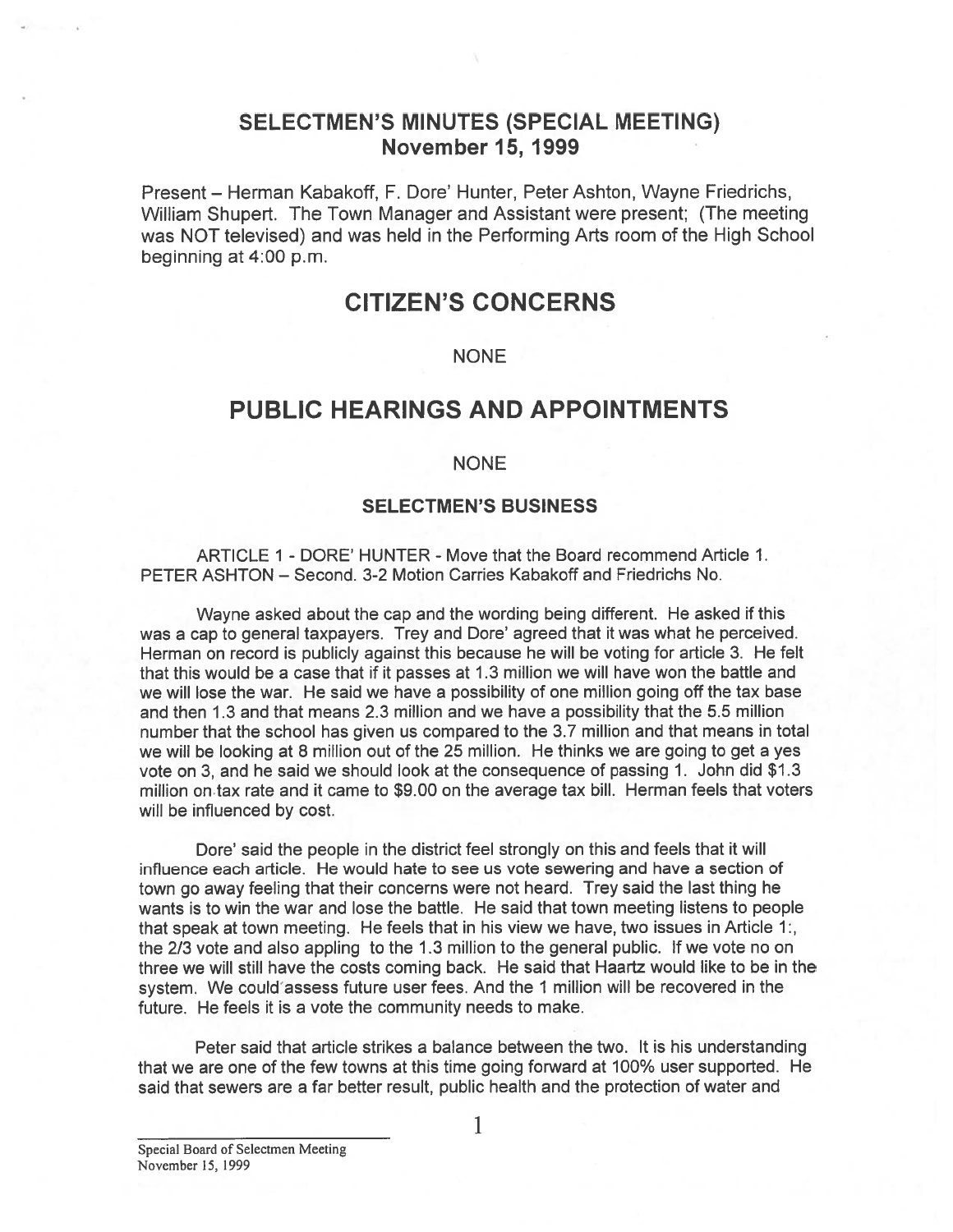## SELECTMEN'S MINUTES (SPECIAL MEETING) November 15, 1999

Present – Herman Kabakoff, F. Dore' Hunter, Peter Ashton, Wayne Friedrichs, William Shupert. The Town Manager and Assistant were present; (The meeting was NOT televised) and was held in the Performing Arts room of the High School beginning at 4:00 p.m.

# CITIZEN'S CONCERNS

### NONE

# PUBLIC HEARINGS AND APPOINTMENTS

## NONE

## SELECTMEN'S BUSINESS

ARTICLE 1 - DORE' HUNTER -Move that the Board recommend Article 1. PETER ASHTON — Second. 3-2 Motion Carries Kabakoff and Friedrichs No.

Wayne asked about the cap and the wording being different. He asked if this was <sup>a</sup> cap to general taxpayers. Trey and Dore' agreed that it was what he perceived. Herman on record is publicly against this because he will be voting for article 3. He felt that this would be <sup>a</sup> case that if it passes at 1.3 million we will have won the battle and we will lose the war. He said we have <sup>a</sup> possibility of one million going off the tax base and then 1.3 and that means 2.3 million and we have <sup>a</sup> possibility that the 5.5 million number that the school has given us compared to the 3.7 million and that means in total we will be looking at 8 million out of the 25 million. He thinks we are going to ge<sup>t</sup> <sup>a</sup> yes vote on 3, and he said we should look at the consequence of passing 1. John did \$1.3 million on.tax rate and it came to \$9.00 on the average tax bill. Herman feels that voters will be influenced by cost.

Dore' said the people in the district feel strongly on this and feels that it will influence each article. He would hate to see us vote sewering and have <sup>a</sup> section of town go away feeling that their concerns were not heard. Trey said the last thing he wants is to win the war and lose the battle. He said that town meeting listens to people that speak at town meeting. He feels that in his view we have, two issues in Article 1:, the 2/3 vote and also appling to the 1.3 million to the general public. If we vote no on three we will still have the costs coming back. He said that Haartz would like to be in the system. We could assess future user fees. And the 1 million will be recovered in the future. He feels it is <sup>a</sup> vote the community needs to make.

Peter said that article strikes <sup>a</sup> balance between the two. It is his understanding that we are one of the few towns at this time going forward at 100% user supported. He said that sewers are <sup>a</sup> far better result, public health and the protection of water and

Special Board of Selectmen Meeting November 15, 1999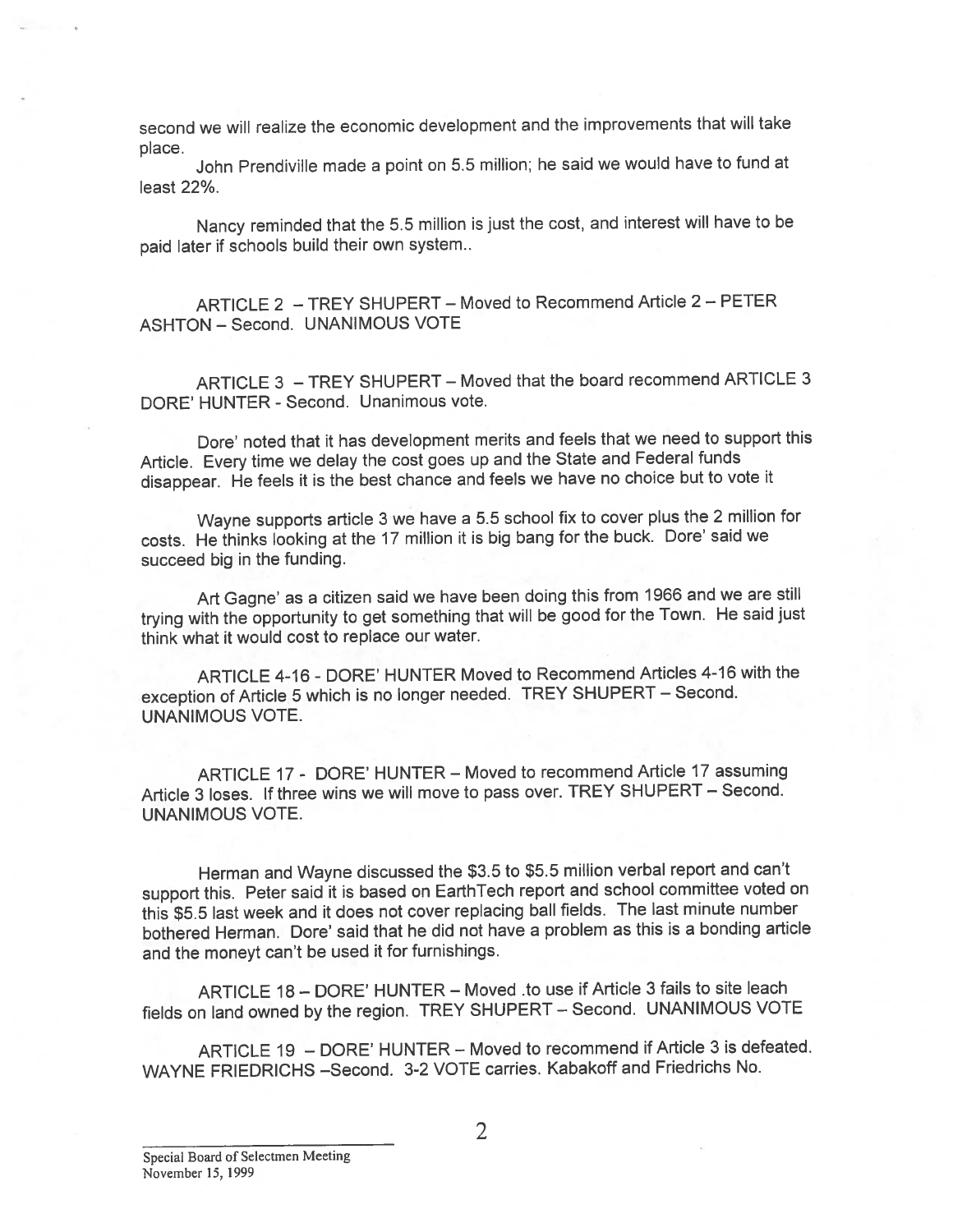second we will realize the economic development and the improvements that will take place.

John Prendiville made <sup>a</sup> point on 5.5 million; he said we would have to fund at least 22%.

Nancy reminded that the 5.5 million is just the cost, and interest will have to be paid later if schools build their own system..

ARTICLE 2 — TREY SHUPERT — Moved to Recommend Article 2— PETER ASHTON — Second. UNANIMOUS VOTE

ARTICLE 3 — TREY SHUPERT — Moved that the board recommend ARTICLE 3 DORE' HUNTER - Second. Unanimous vote.

Dore' noted that it has development merits and feels that we need to suppor<sup>t</sup> this Article. Every time we delay the cost goes up and the State and Federal funds disappear. He feels it is the best chance and feels we have no choice but to vote it

Wayne supports article <sup>3</sup> we have <sup>a</sup> 5.5 school fix to cover <sup>p</sup>lus the <sup>2</sup> million for costs. He thinks looking at the <sup>17</sup> million it is big bang for the buck. Dore' said we succeed big in the funding.

Art Gagne' as <sup>a</sup> citizen said we have been doing this from <sup>1966</sup> and we are still trying with the opportunity to ge<sup>t</sup> something that will be goo<sup>d</sup> for the Town. He said just think what it would cost to replace our water.

ARTICLE 4-16 - DORE' HUNTER Moved to Recommend Articles 4-16 with the exception of Article <sup>5</sup> which is no longer needed. TREY SHUPERT — Second. UNANIMOUS VOTE.

ARTICLE 17 - DORE' HUNTER — Moved to recommend Article 17 assuming Article <sup>3</sup> loses. If three wins we will move to pass over. TREY SHUPERT — Second. UNANIMOUS VOTE.

Herman and Wayne discussed the \$3.5 to \$5.5 million verbal repor<sup>t</sup> and can't suppor<sup>t</sup> this. Peter said it is based on EarthTech repor<sup>t</sup> and school committee voted on this \$5.5 last week and it does not cover replacing ball fields. The last minute number bothered Herman. Dore' said that he did not have <sup>a</sup> problem as this is <sup>a</sup> bonding article and the money<sup>t</sup> can't be used it for furnishings.

ARTICLE 18— DORE' HUNTER — Moved .to use if Article 3 fails to site leach fields on land owned by the region. TREY SHUPERT — Second. UNANIMOUS VOTE

ARTICLE 19 — DORE' HUNTER — Moved to recommend if Article 3 is defeated. WAYNE FRIEDRICHS —Second. 3-2 VOTE carries. Kabakoff and Friedrichs No.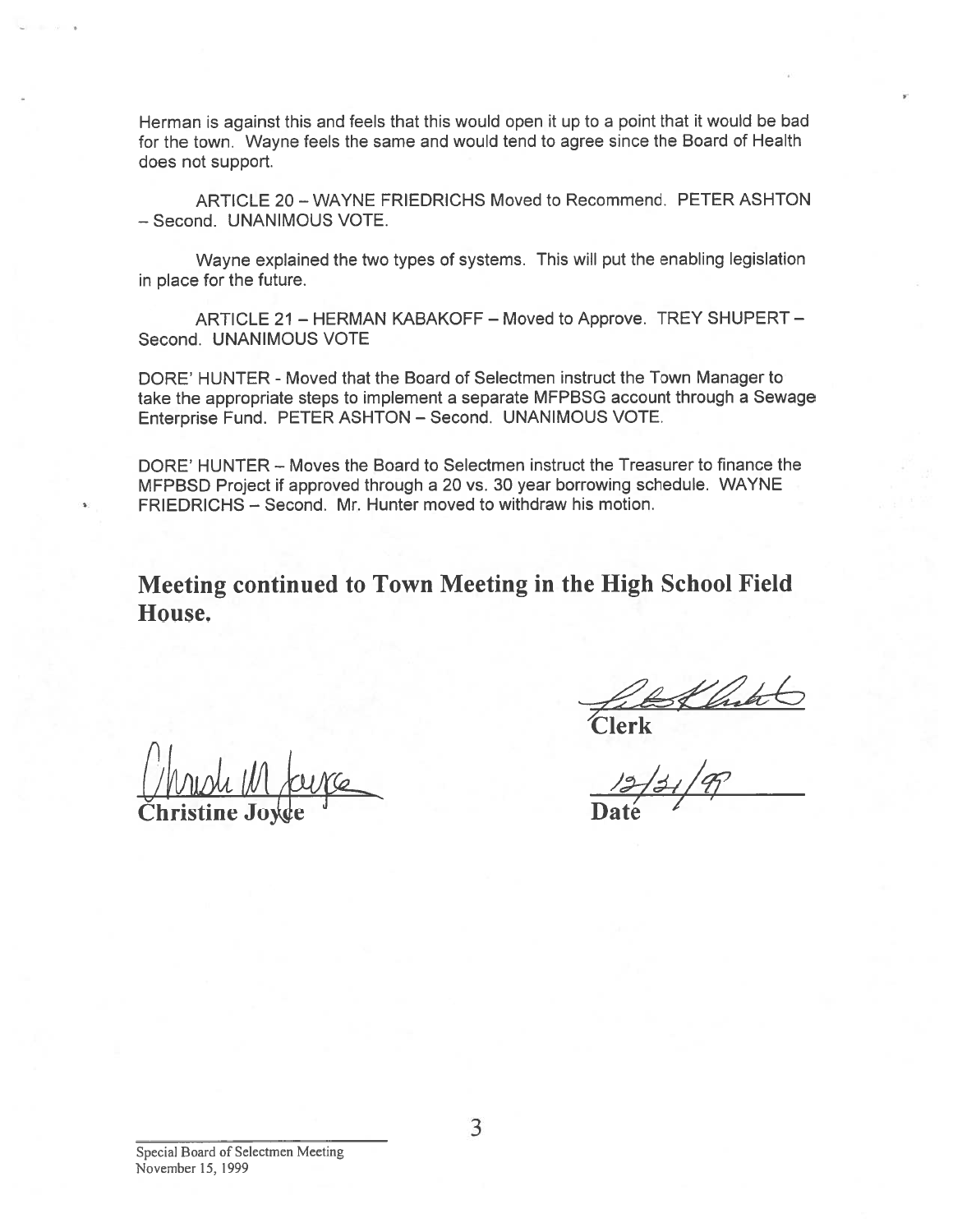Herman is against this and feels that this would open it up to <sup>a</sup> point that it would be bad for the town. Wayne feels the same and would tend to agree since the Board of Health does not support.

ARTICLE 20—WAYNE FRIEDRICHS Moved to Recommend. PETER ASHTON — Second. UNANIMOUS VOTE.

Wayne explained the two types of systems. This will pu<sup>t</sup> the enabling legislation in place for the future.

ARTICLE 21 — HERMAN KABAKOFF — Moved to Approve. TREY SHUPERT — Second. UNANIMOUS VOTE

DORE' HUNTER - Moved that the Board of Selectmen instruct the Town Manager to take the appropriate steps to implement <sup>a</sup> separate MFPBSG account through <sup>a</sup> Sewage Enterprise Fund. PETER ASHTON — Second. UNANIMOUS VOTE.

DORE' HUNTER — Moves the Board to Selectmen instruct the Treasurer to finance the MFPBSD Project if approved through <sup>a</sup> 20 vs. 30 year borrowing schedule. WAYNE FRIEDRICHS - Second. Mr. Hunter moved to withdraw his motion.

Meeting continued to Town Meeting in the High School Field House.

Christine Joxde **Christine** Date

Clerk<br>Clerk<br>12/1, /m

Special Board of Selectmen Meeting November 15, 1999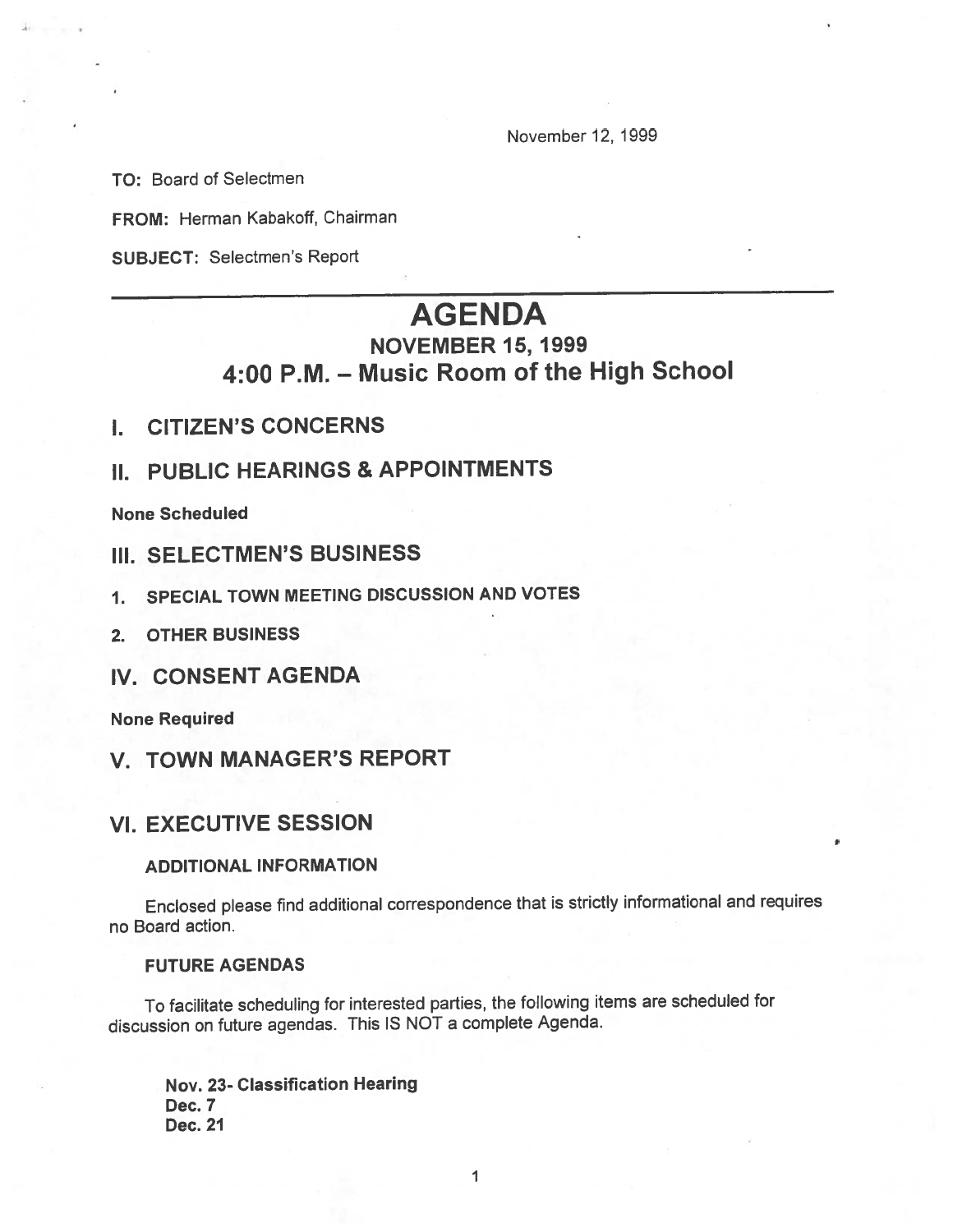November12, 1999

TO: Board of Selectmen

FROM: Herman Kabakoff, Chairman

SUBJECT: Selectmen's Report

# AGENDA

# NOVEMBER 15, 1999 4:00 P.M. — Music Room of the High School

- I. CITIZEN'S CONCERNS
- II. PUBLIC HEARINGS & APPOINTMENTS

None Scheduled

- III. SELECTMEN'S BUSINESS
- 1. SPECIAL TOWN MEETING DISCUSSION AND VOTES
- 2. OTHER BUSINESS
- IV. CONSENT AGENDA

None Required

V. TOWN MANAGER'S REPORT

## VI. EXECUTIVE SESSION

### ADDITIONAL INFORMATION

Enclosed <sup>p</sup>lease find additional correspondence that is strictly informational and requires no Board action.

#### FUTURE AGENDAS

To facilitate scheduling for interested parties, the following items are scheduled for discussion on future agendas. This IS NOT <sup>a</sup> complete Agenda.

Nov. 23- Classification Hearing Dec. 7 Dec. 21